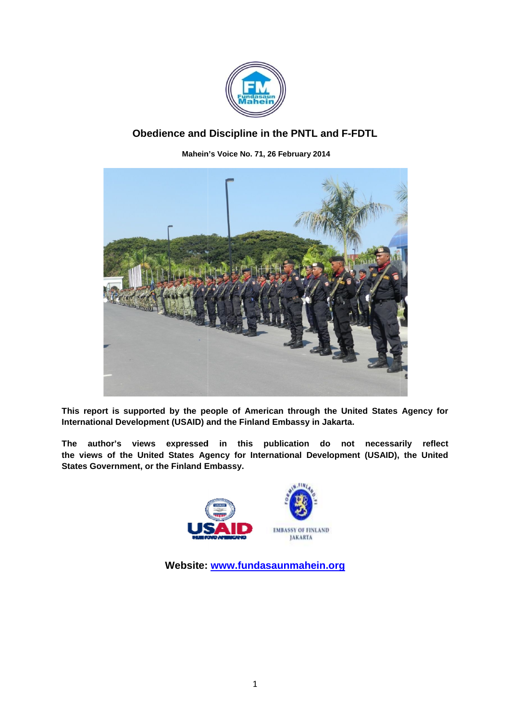

# **Obedience and Obedience and Discipline in the PNTL and F-FDTL**

**Mahein Mahein's Voice No. 71, 26 February 2014**



This report is supported by the people of American through the United States Agency for International Development (USAID) and the Finland Embassy in Jakarta.

**The author's views expressed in this publication do not necessarily reflect** The author's views expressed in this publication do not necessarily reflect<br>the views of the United States Agency for International Development (USAID), the United **States Government, or the Finland Embassy.**



**Website: www.fundasaunmahein.org**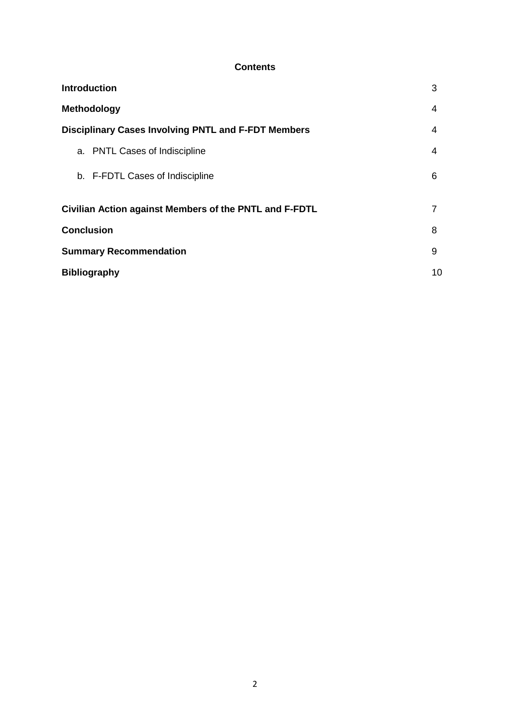### **Contents**

| <b>Introduction</b>                                        | 3  |
|------------------------------------------------------------|----|
| <b>Methodology</b>                                         | 4  |
| <b>Disciplinary Cases Involving PNTL and F-FDT Members</b> | 4  |
| a. PNTL Cases of Indiscipline                              | 4  |
| b. F-FDTL Cases of Indiscipline                            | 6  |
| Civilian Action against Members of the PNTL and F-FDTL     | 7  |
| <b>Conclusion</b>                                          | 8  |
| <b>Summary Recommendation</b>                              | 9  |
| <b>Bibliography</b>                                        | 10 |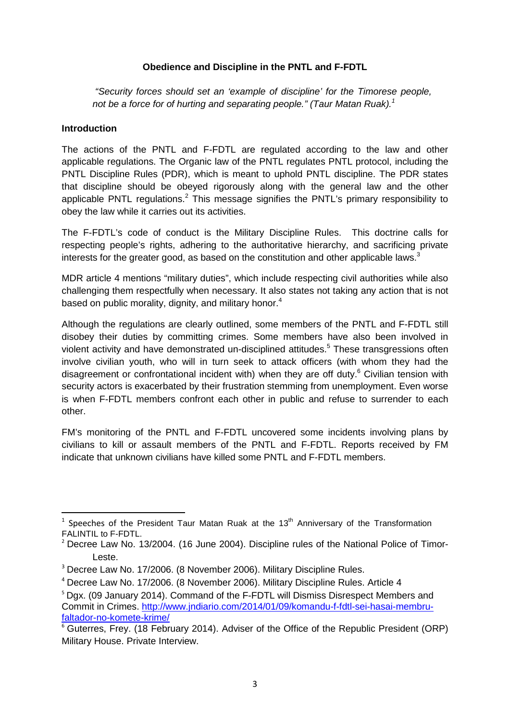### **Obedience and Discipline in the PNTL and F-FDTL**

*"Security forces should set an 'example of discipline' for the Timorese people, not be a force for of hurting and separating people." (Taur Matan Ruak).1*

#### **Introduction**

The actions of the PNTL and F-FDTL are regulated according to the law and other applicable regulations. The Organic law of the PNTL regulates PNTL protocol, including the PNTL Discipline Rules (PDR), which is meant to uphold PNTL discipline. The PDR states that discipline should be obeyed rigorously along with the general law and the other applicable PNTL regulations.<sup>2</sup> This message signifies the PNTL's primary responsibility to obey the law while it carries out its activities.

The F-FDTL's code of conduct is the Military Discipline Rules. This doctrine calls for respecting people's rights, adhering to the authoritative hierarchy, and sacrificing private interests for the greater good, as based on the constitution and other applicable laws. $^3$ 

MDR article 4 mentions "military duties", which include respecting civil authorities while also challenging them respectfully when necessary. It also states not taking any action that is not based on public morality, dignity, and military honor.<sup>4</sup>

Although the regulations are clearly outlined, some members of the PNTL and F-FDTL still disobey their duties by committing crimes. Some members have also been involved in violent activity and have demonstrated un-disciplined attitudes.<sup>5</sup> These transgressions often involve civilian youth, who will in turn seek to attack officers (with whom they had the disagreement or confrontational incident with) when they are off duty.<sup>6</sup> Civilian tension with security actors is exacerbated by their frustration stemming from unemployment. Even worse is when F-FDTL members confront each other in public and refuse to surrender to each other.

FM's monitoring of the PNTL and F-FDTL uncovered some incidents involving plans by civilians to kill or assault members of the PNTL and F-FDTL. Reports received by FM indicate that unknown civilians have killed some PNTL and F-FDTL members.

 $1$  Speeches of the President Taur Matan Ruak at the 13<sup>th</sup> Anniversary of the Transformation FALINTIL to F-FDTL.

<sup>2</sup> Decree Law No. 13/2004. (16 June 2004). Discipline rules of the National Police of Timor-Leste.

<sup>3</sup> Decree Law No. 17/2006. (8 November 2006). Military Discipline Rules.

<sup>4</sup> Decree Law No. 17/2006. (8 November 2006). Military Discipline Rules. Article 4

<sup>&</sup>lt;sup>5</sup> Dgx. (09 January 2014). Command of the F-FDTL will Dismiss Disrespect Members and Commit in Crimes. http://www.jndiario.com/2014/01/09/komandu-f-fdtl-sei-hasai-membrufaltador-no-komete-krime/

 $6$  Guterres, Frey. (18 February 2014). Adviser of the Office of the Republic President (ORP) Military House. Private Interview.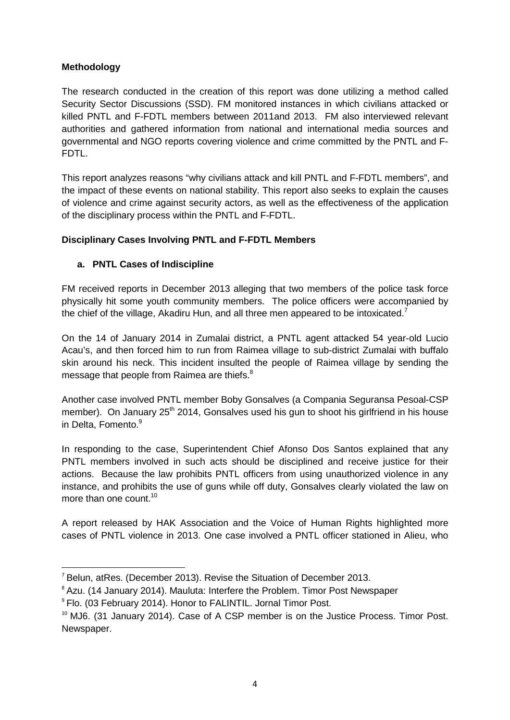# **Methodology**

The research conducted in the creation of this report was done utilizing a method called Security Sector Discussions (SSD). FM monitored instances in which civilians attacked or killed PNTL and F-FDTL members between 2011and 2013. FM also interviewed relevant authorities and gathered information from national and international media sources and governmental and NGO reports covering violence and crime committed by the PNTL and F-FDTL.

This report analyzes reasons "why civilians attack and kill PNTL and F-FDTL members", and the impact of these events on national stability. This report also seeks to explain the causes of violence and crime against security actors, as well as the effectiveness of the application of the disciplinary process within the PNTL and F-FDTL.

# **Disciplinary Cases Involving PNTL and F-FDTL Members**

# **a. PNTL Cases of Indiscipline**

FM received reports in December 2013 alleging that two members of the police task force physically hit some youth community members. The police officers were accompanied by the chief of the village, Akadiru Hun, and all three men appeared to be intoxicated.<sup>7</sup>

On the 14 of January 2014 in Zumalai district, a PNTL agent attacked 54 year-old Lucio Acau's, and then forced him to run from Raimea village to sub-district Zumalai with buffalo skin around his neck. This incident insulted the people of Raimea village by sending the message that people from Raimea are thiefs. $^8$ 

Another case involved PNTL member Boby Gonsalves (a Compania Seguransa Pesoal-CSP member). On January 25<sup>th</sup> 2014, Gonsalves used his gun to shoot his girlfriend in his house in Delta, Fomento. 9

In responding to the case, Superintendent Chief Afonso Dos Santos explained that any PNTL members involved in such acts should be disciplined and receive justice for their actions. Because the law prohibits PNTL officers from using unauthorized violence in any instance, and prohibits the use of guns while off duty, Gonsalves clearly violated the law on more than one count.<sup>10</sup>

A report released by HAK Association and the Voice of Human Rights highlighted more cases of PNTL violence in 2013. One case involved a PNTL officer stationed in Alieu, who

 <sup>7</sup> Belun, atRes. (December 2013). Revise the Situation of December 2013.

<sup>&</sup>lt;sup>8</sup> Azu. (14 January 2014). Mauluta: Interfere the Problem. Timor Post Newspaper

<sup>&</sup>lt;sup>9</sup> Flo. (03 February 2014). Honor to FALINTIL. Jornal Timor Post.

 $10$  MJ6. (31 January 2014). Case of A CSP member is on the Justice Process. Timor Post. Newspaper.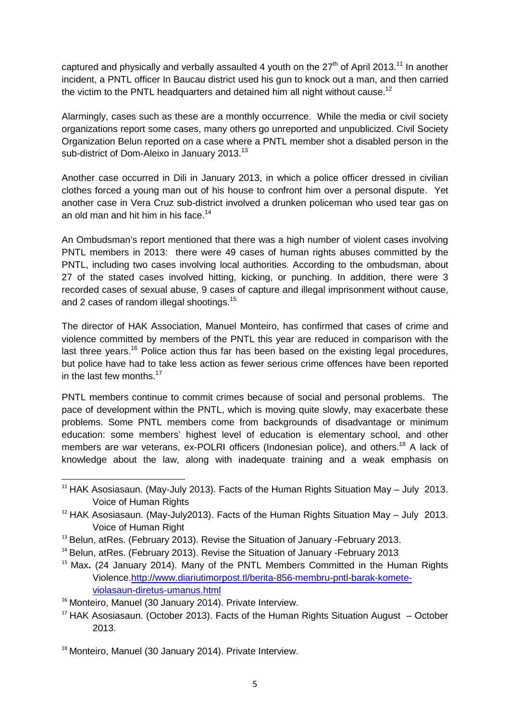captured and physically and verbally assaulted 4 youth on the 27<sup>th</sup> of April 2013.<sup>11</sup> In another incident, a PNTL officer In Baucau district used his gun to knock out a man, and then carried the victim to the PNTL headquarters and detained him all night without cause.<sup>12</sup>

Alarmingly, cases such as these are a monthly occurrence. While the media or civil society organizations report some cases, many others go unreported and unpublicized. Civil Society Organization Belun reported on a case where a PNTL member shot a disabled person in the sub-district of Dom-Aleixo in January 2013.<sup>13</sup>

Another case occurred in Dili in January 2013, in which a police officer dressed in civilian clothes forced a young man out of his house to confront him over a personal dispute. Yet another case in Vera Cruz sub-district involved a drunken policeman who used tear gas on an old man and hit him in his face.<sup>14</sup>

An Ombudsman's report mentioned that there was a high number of violent cases involving PNTL members in 2013: there were 49 cases of human rights abuses committed by the PNTL, including two cases involving local authorities. According to the ombudsman, about 27 of the stated cases involved hitting, kicking, or punching. In addition, there were 3 recorded cases of sexual abuse, 9 cases of capture and illegal imprisonment without cause, and 2 cases of random illegal shootings.<sup>15</sup>

The director of HAK Association, Manuel Monteiro, has confirmed that cases of crime and violence committed by members of the PNTL this year are reduced in comparison with the last three years.<sup>16</sup> Police action thus far has been based on the existing legal procedures, but police have had to take less action as fewer serious crime offences have been reported in the last few months.<sup>17</sup>

PNTL members continue to commit crimes because of social and personal problems. The pace of development within the PNTL, which is moving quite slowly, may exacerbate these problems. Some PNTL members come from backgrounds of disadvantage or minimum education: some members' highest level of education is elementary school, and other members are war veterans, ex-POLRI officers (Indonesian police), and others.<sup>18</sup> A lack of knowledge about the law, along with inadequate training and a weak emphasis on

 $11$  HAK Asosiasaun. (May-July 2013). Facts of the Human Rights Situation May – July 2013. Voice of Human Rights

 $12$  HAK Asosiasaun. (May-July2013). Facts of the Human Rights Situation May – July 2013. Voice of Human Right

<sup>&</sup>lt;sup>13</sup> Belun, atRes. (February 2013). Revise the Situation of January -February 2013.

<sup>&</sup>lt;sup>14</sup> Belun, atRes. (February 2013). Revise the Situation of January -February 2013

<sup>&</sup>lt;sup>15</sup> Max. (24 January 2014). Many of the PNTL Members Committed in the Human Rights Violence.http://www.diariutimorpost.tl/berita-856-membru-pntl-barak-kometeviolasaun-diretus-umanus.html

<sup>&</sup>lt;sup>16</sup> Monteiro, Manuel (30 January 2014). Private Interview.

 $17$  HAK Asosiasaun. (October 2013). Facts of the Human Rights Situation August – October 2013.

<sup>&</sup>lt;sup>18</sup> Monteiro, Manuel (30 January 2014). Private Interview.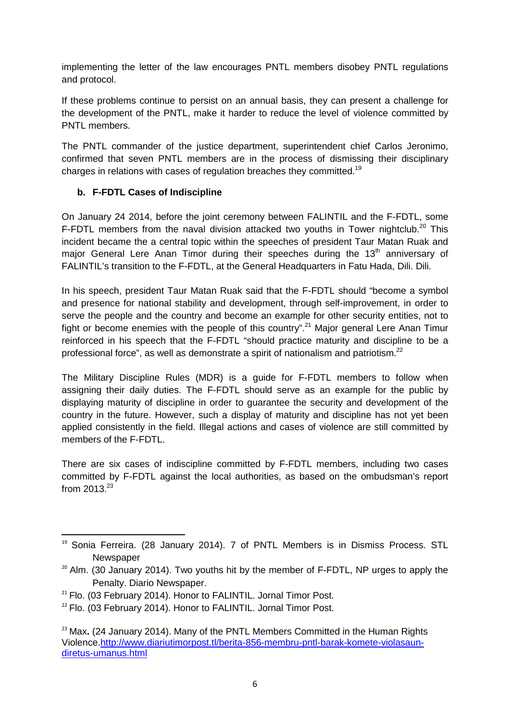implementing the letter of the law encourages PNTL members disobey PNTL regulations and protocol.

If these problems continue to persist on an annual basis, they can present a challenge for the development of the PNTL, make it harder to reduce the level of violence committed by PNTL members.

The PNTL commander of the justice department, superintendent chief Carlos Jeronimo, confirmed that seven PNTL members are in the process of dismissing their disciplinary charges in relations with cases of regulation breaches they committed.<sup>19</sup>

# **b. F-FDTL Cases of Indiscipline**

On January 24 2014, before the joint ceremony between FALINTIL and the F-FDTL, some F-FDTL members from the naval division attacked two youths in Tower nightclub.<sup>20</sup> This incident became the a central topic within the speeches of president Taur Matan Ruak and major General Lere Anan Timor during their speeches during the  $13<sup>th</sup>$  anniversary of FALINTIL's transition to the F-FDTL, at the General Headquarters in Fatu Hada, Dili. Dili.

In his speech, president Taur Matan Ruak said that the F-FDTL should "become a symbol and presence for national stability and development, through self-improvement, in order to serve the people and the country and become an example for other security entities, not to fight or become enemies with the people of this country".<sup>21</sup> Major general Lere Anan Timur reinforced in his speech that the F-FDTL "should practice maturity and discipline to be a professional force", as well as demonstrate a spirit of nationalism and patriotism.<sup>22</sup>

The Military Discipline Rules (MDR) is a guide for F-FDTL members to follow when assigning their daily duties. The F-FDTL should serve as an example for the public by displaying maturity of discipline in order to guarantee the security and development of the country in the future. However, such a display of maturity and discipline has not yet been applied consistently in the field. Illegal actions and cases of violence are still committed by members of the F-FDTL.

There are six cases of indiscipline committed by F-FDTL members, including two cases committed by F-FDTL against the local authorities, as based on the ombudsman's report from  $2013^{23}$ 

<sup>&</sup>lt;sup>19</sup> Sonia Ferreira. (28 January 2014). 7 of PNTL Members is in Dismiss Process. STL **Newspaper** 

 $20$  Alm. (30 January 2014). Two youths hit by the member of F-FDTL. NP urges to apply the Penalty. Diario Newspaper.

 $21$  Flo. (03 February 2014). Honor to FALINTIL. Jornal Timor Post.

 $22$  Flo. (03 February 2014). Honor to FALINTIL. Jornal Timor Post.

<sup>&</sup>lt;sup>23</sup> Max. (24 January 2014). Many of the PNTL Members Committed in the Human Rights Violence.http://www.diariutimorpost.tl/berita-856-membru-pntl-barak-komete-violasaundiretus-umanus.html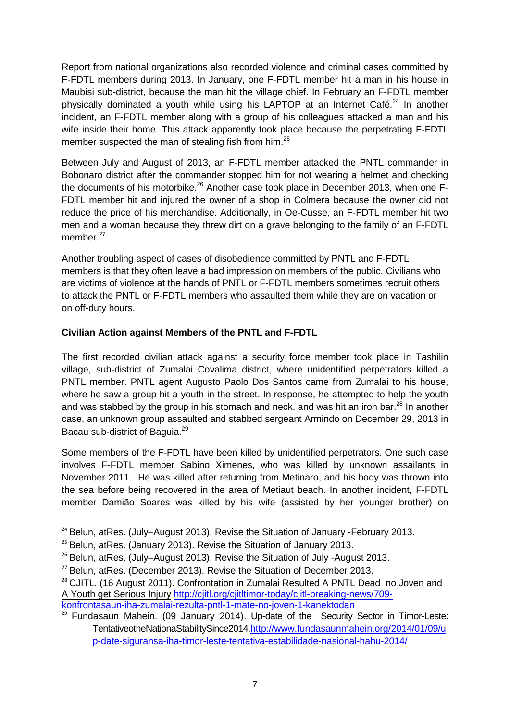Report from national organizations also recorded violence and criminal cases committed by F-FDTL members during 2013. In January, one F-FDTL member hit a man in his house in Maubisi sub-district, because the man hit the village chief. In February an F-FDTL member physically dominated a youth while using his LAPTOP at an Internet Café. $^{24}$  In another incident, an F-FDTL member along with a group of his colleagues attacked a man and his wife inside their home. This attack apparently took place because the perpetrating F-FDTL member suspected the man of stealing fish from him.<sup>25</sup>

Between July and August of 2013, an F-FDTL member attacked the PNTL commander in Bobonaro district after the commander stopped him for not wearing a helmet and checking the documents of his motorbike.26 Another case took place in December 2013, when one F-FDTL member hit and injured the owner of a shop in Colmera because the owner did not reduce the price of his merchandise. Additionally, in Oe-Cusse, an F-FDTL member hit two men and a woman because they threw dirt on a grave belonging to the family of an F-FDTL member.<sup>27</sup>

Another troubling aspect of cases of disobedience committed by PNTL and F-FDTL members is that they often leave a bad impression on members of the public. Civilians who are victims of violence at the hands of PNTL or F-FDTL members sometimes recruit others to attack the PNTL or F-FDTL members who assaulted them while they are on vacation or on off-duty hours.

# **Civilian Action against Members of the PNTL and F-FDTL**

The first recorded civilian attack against a security force member took place in Tashilin village, sub-district of Zumalai Covalima district, where unidentified perpetrators killed a PNTL member. PNTL agent Augusto Paolo Dos Santos came from Zumalai to his house, where he saw a group hit a youth in the street. In response, he attempted to help the youth and was stabbed by the group in his stomach and neck, and was hit an iron bar.<sup>28</sup> In another case, an unknown group assaulted and stabbed sergeant Armindo on December 29, 2013 in Bacau sub-district of Baguia.<sup>29</sup>

Some members of the F-FDTL have been killed by unidentified perpetrators. One such case involves F-FDTL member Sabino Ximenes, who was killed by unknown assailants in November 2011. He was killed after returning from Metinaro, and his body was thrown into the sea before being recovered in the area of Metiaut beach. In another incident, F-FDTL member Damião Soares was killed by his wife (assisted by her younger brother) on

 $24$  Belun, atRes. (July–August 2013). Revise the Situation of January -February 2013.

<sup>&</sup>lt;sup>25</sup> Belun, atRes. (January 2013). Revise the Situation of January 2013.

<sup>&</sup>lt;sup>26</sup> Belun, atRes. (July–August 2013). Revise the Situation of July -August 2013.

 $27$  Belun, atRes. (December 2013). Revise the Situation of December 2013.

<sup>&</sup>lt;sup>28</sup> CJITL. (16 August 2011). Confrontation in Zumalai Resulted A PNTL Dead no Joven and A Youth get Serious Injury http://cjitl.org/cjitltimor-today/cjitl-breaking-news/709 konfrontasaun-iha-zumalai-rezulta-pntl-1-mate-no-joven-1-kanektodan

 $29$  Fundasaun Mahein. (09 January 2014). Up-date of the Security Sector in Timor-Leste: TentativeotheNationaStabilitySince2014.http://www.fundasaunmahein.org/2014/01/09/u p-date-siguransa-iha-timor-leste-tentativa-estabilidade-nasional-hahu-2014/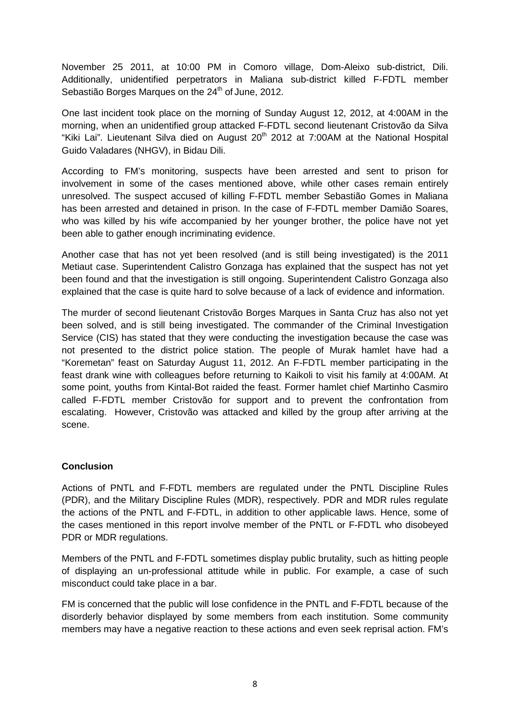November 25 2011, at 10:00 PM in Comoro village, Dom-Aleixo sub-district, Dili. Additionally, unidentified perpetrators in Maliana sub-district killed F-FDTL member Sebastião Borges Marques on the 24<sup>th</sup> of June, 2012.

One last incident took place on the morning of Sunday August 12, 2012, at 4:00AM in the morning, when an unidentified group attacked F-FDTL second lieutenant Cristovão da Silva "Kiki Lai". Lieutenant Silva died on August  $20<sup>th</sup>$  2012 at 7:00AM at the National Hospital Guido Valadares (NHGV), in Bidau Dili.

According to FM's monitoring, suspects have been arrested and sent to prison for involvement in some of the cases mentioned above, while other cases remain entirely unresolved. The suspect accused of killing F-FDTL member Sebastião Gomes in Maliana has been arrested and detained in prison. In the case of F-FDTL member Damião Soares, who was killed by his wife accompanied by her younger brother, the police have not yet been able to gather enough incriminating evidence.

Another case that has not yet been resolved (and is still being investigated) is the 2011 Metiaut case. Superintendent Calistro Gonzaga has explained that the suspect has not yet been found and that the investigation is still ongoing. Superintendent Calistro Gonzaga also explained that the case is quite hard to solve because of a lack of evidence and information.

The murder of second lieutenant Cristovão Borges Marques in Santa Cruz has also not yet been solved, and is still being investigated. The commander of the Criminal Investigation Service (CIS) has stated that they were conducting the investigation because the case was not presented to the district police station. The people of Murak hamlet have had a "Koremetan" feast on Saturday August 11, 2012. An F-FDTL member participating in the feast drank wine with colleagues before returning to Kaikoli to visit his family at 4:00AM. At some point, youths from Kintal-Bot raided the feast. Former hamlet chief Martinho Casmiro called F-FDTL member Cristovão for support and to prevent the confrontation from escalating. However, Cristovão was attacked and killed by the group after arriving at the scene.

# **Conclusion**

Actions of PNTL and F-FDTL members are regulated under the PNTL Discipline Rules (PDR), and the Military Discipline Rules (MDR), respectively. PDR and MDR rules regulate the actions of the PNTL and F-FDTL, in addition to other applicable laws. Hence, some of the cases mentioned in this report involve member of the PNTL or F-FDTL who disobeyed PDR or MDR regulations.

Members of the PNTL and F-FDTL sometimes display public brutality, such as hitting people of displaying an un-professional attitude while in public. For example, a case of such misconduct could take place in a bar.

FM is concerned that the public will lose confidence in the PNTL and F-FDTL because of the disorderly behavior displayed by some members from each institution. Some community members may have a negative reaction to these actions and even seek reprisal action. FM's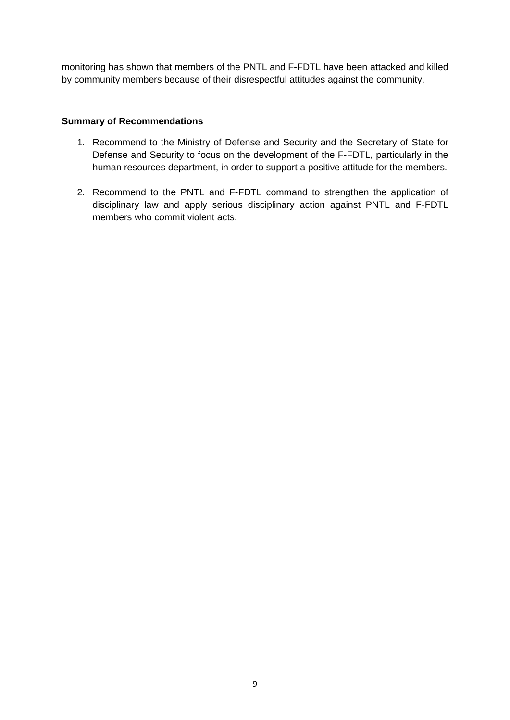monitoring has shown that members of the PNTL and F-FDTL have been attacked and killed by community members because of their disrespectful attitudes against the community.

### **Summary of Recommendations**

- 1. Recommend to the Ministry of Defense and Security and the Secretary of State for Defense and Security to focus on the development of the F-FDTL, particularly in the human resources department, in order to support a positive attitude for the members.
- 2. Recommend to the PNTL and F-FDTL command to strengthen the application of disciplinary law and apply serious disciplinary action against PNTL and F-FDTL members who commit violent acts.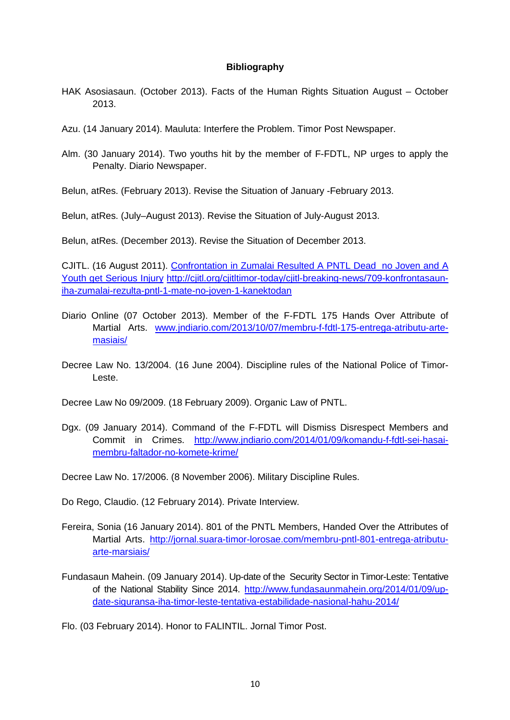#### **Bibliography**

- HAK Asosiasaun. (October 2013). Facts of the Human Rights Situation August October 2013.
- Azu. (14 January 2014). Mauluta: Interfere the Problem. Timor Post Newspaper.
- Alm. (30 January 2014). Two youths hit by the member of F-FDTL, NP urges to apply the Penalty. Diario Newspaper.

Belun, atRes. (February 2013). Revise the Situation of January -February 2013.

Belun, atRes. (July–August 2013). Revise the Situation of July-August 2013.

Belun, atRes. (December 2013). Revise the Situation of December 2013.

CJITL. (16 August 2011). Confrontation in Zumalai Resulted A PNTL Dead no Joven and A Youth get Serious Injury http://cjitl.org/cjitltimor-today/cjitl-breaking-news/709-konfrontasauniha-zumalai-rezulta-pntl-1-mate-no-joven-1-kanektodan

- Diario Online (07 October 2013). Member of the F-FDTL 175 Hands Over Attribute of Martial Arts. www.jndiario.com/2013/10/07/membru-f-fdtl-175-entrega-atributu-artemasiais/
- Decree Law No. 13/2004. (16 June 2004). Discipline rules of the National Police of Timor-Leste.

Decree Law No 09/2009. (18 February 2009). Organic Law of PNTL.

Dgx. (09 January 2014). Command of the F-FDTL will Dismiss Disrespect Members and Commit in Crimes. http://www.jndiario.com/2014/01/09/komandu-f-fdtl-sei-hasaimembru-faltador-no-komete-krime/

Decree Law No. 17/2006. (8 November 2006). Military Discipline Rules.

Do Rego, Claudio. (12 February 2014). Private Interview.

- Fereira, Sonia (16 January 2014). 801 of the PNTL Members, Handed Over the Attributes of Martial Arts. http://jornal.suara-timor-lorosae.com/membru-pntl-801-entrega-atributuarte-marsiais/
- Fundasaun Mahein. (09 January 2014). Up-date of the Security Sector in Timor-Leste: Tentative of the National Stability Since 2014. http://www.fundasaunmahein.org/2014/01/09/update-siguransa-iha-timor-leste-tentativa-estabilidade-nasional-hahu-2014/

Flo. (03 February 2014). Honor to FALINTIL. Jornal Timor Post.